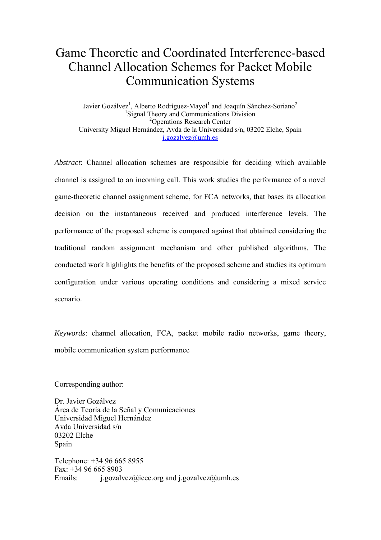# Game Theoretic and Coordinated Interference-based Channel Allocation Schemes for Packet Mobile Communication Systems

Javier Gozálvez<sup>1</sup>, Alberto Rodríguez-Mayol<sup>1</sup> and Joaquín Sánchez-Soriano<sup>2</sup> <sup>1</sup>Signal Theory and Communications Division 2 Operations Research Center University Miguel Hernández, Avda de la Universidad s/n, 03202 Elche, Spain j.gozalvez@umh.es

*Abstract*: Channel allocation schemes are responsible for deciding which available channel is assigned to an incoming call. This work studies the performance of a novel game-theoretic channel assignment scheme, for FCA networks, that bases its allocation decision on the instantaneous received and produced interference levels. The performance of the proposed scheme is compared against that obtained considering the traditional random assignment mechanism and other published algorithms. The conducted work highlights the benefits of the proposed scheme and studies its optimum configuration under various operating conditions and considering a mixed service scenario.

*Keywords*: channel allocation, FCA, packet mobile radio networks, game theory, mobile communication system performance

Corresponding author:

Dr. Javier Gozálvez Área de Teoría de la Señal y Comunicaciones Universidad Miguel Hernández Avda Universidad s/n 03202 Elche Spain

Telephone: +34 96 665 8955  $\text{Fax} \cdot +34966658903$ Emails: i.gozalvez@ieee.org and j.gozalvez@umh.es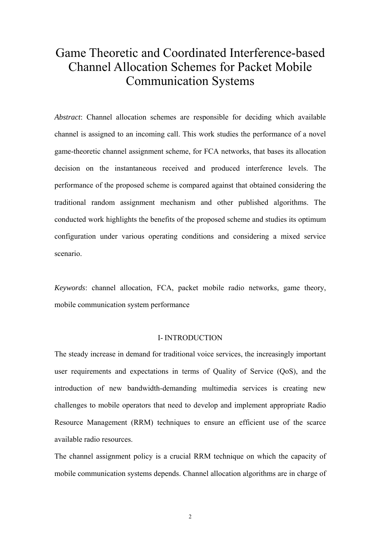## Game Theoretic and Coordinated Interference-based Channel Allocation Schemes for Packet Mobile Communication Systems

*Abstract*: Channel allocation schemes are responsible for deciding which available channel is assigned to an incoming call. This work studies the performance of a novel game-theoretic channel assignment scheme, for FCA networks, that bases its allocation decision on the instantaneous received and produced interference levels. The performance of the proposed scheme is compared against that obtained considering the traditional random assignment mechanism and other published algorithms. The conducted work highlights the benefits of the proposed scheme and studies its optimum configuration under various operating conditions and considering a mixed service scenario.

*Keywords*: channel allocation, FCA, packet mobile radio networks, game theory, mobile communication system performance

### I- INTRODUCTION

The steady increase in demand for traditional voice services, the increasingly important user requirements and expectations in terms of Quality of Service (QoS), and the introduction of new bandwidth-demanding multimedia services is creating new challenges to mobile operators that need to develop and implement appropriate Radio Resource Management (RRM) techniques to ensure an efficient use of the scarce available radio resources.

The channel assignment policy is a crucial RRM technique on which the capacity of mobile communication systems depends. Channel allocation algorithms are in charge of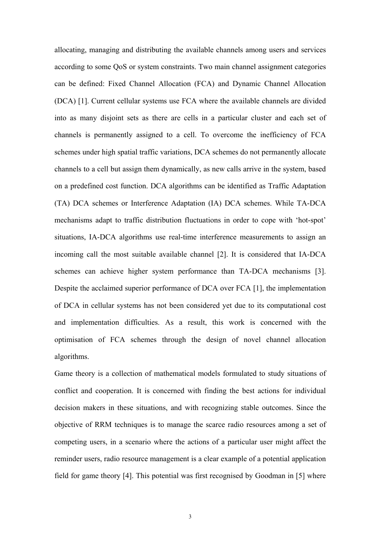allocating, managing and distributing the available channels among users and services according to some QoS or system constraints. Two main channel assignment categories can be defined: Fixed Channel Allocation (FCA) and Dynamic Channel Allocation (DCA) [1]. Current cellular systems use FCA where the available channels are divided into as many disjoint sets as there are cells in a particular cluster and each set of channels is permanently assigned to a cell. To overcome the inefficiency of FCA schemes under high spatial traffic variations, DCA schemes do not permanently allocate channels to a cell but assign them dynamically, as new calls arrive in the system, based on a predefined cost function. DCA algorithms can be identified as Traffic Adaptation (TA) DCA schemes or Interference Adaptation (IA) DCA schemes. While TA-DCA mechanisms adapt to traffic distribution fluctuations in order to cope with 'hot-spot' situations, IA-DCA algorithms use real-time interference measurements to assign an incoming call the most suitable available channel [2]. It is considered that IA-DCA schemes can achieve higher system performance than TA-DCA mechanisms [3]. Despite the acclaimed superior performance of DCA over FCA [1], the implementation of DCA in cellular systems has not been considered yet due to its computational cost and implementation difficulties. As a result, this work is concerned with the optimisation of FCA schemes through the design of novel channel allocation algorithms.

Game theory is a collection of mathematical models formulated to study situations of conflict and cooperation. It is concerned with finding the best actions for individual decision makers in these situations, and with recognizing stable outcomes. Since the objective of RRM techniques is to manage the scarce radio resources among a set of competing users, in a scenario where the actions of a particular user might affect the reminder users, radio resource management is a clear example of a potential application field for game theory [4]. This potential was first recognised by Goodman in [5] where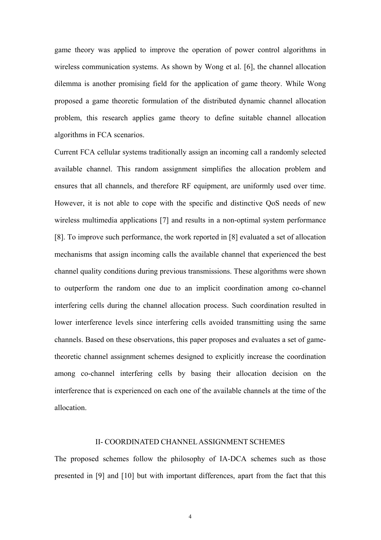game theory was applied to improve the operation of power control algorithms in wireless communication systems. As shown by Wong et al. [6], the channel allocation dilemma is another promising field for the application of game theory. While Wong proposed a game theoretic formulation of the distributed dynamic channel allocation problem, this research applies game theory to define suitable channel allocation algorithms in FCA scenarios.

Current FCA cellular systems traditionally assign an incoming call a randomly selected available channel. This random assignment simplifies the allocation problem and ensures that all channels, and therefore RF equipment, are uniformly used over time. However, it is not able to cope with the specific and distinctive QoS needs of new wireless multimedia applications [7] and results in a non-optimal system performance [8]. To improve such performance, the work reported in [8] evaluated a set of allocation mechanisms that assign incoming calls the available channel that experienced the best channel quality conditions during previous transmissions. These algorithms were shown to outperform the random one due to an implicit coordination among co-channel interfering cells during the channel allocation process. Such coordination resulted in lower interference levels since interfering cells avoided transmitting using the same channels. Based on these observations, this paper proposes and evaluates a set of gametheoretic channel assignment schemes designed to explicitly increase the coordination among co-channel interfering cells by basing their allocation decision on the interference that is experienced on each one of the available channels at the time of the allocation.

### II- COORDINATED CHANNELASSIGNMENT SCHEMES

The proposed schemes follow the philosophy of IA-DCA schemes such as those presented in [9] and [10] but with important differences, apart from the fact that this

4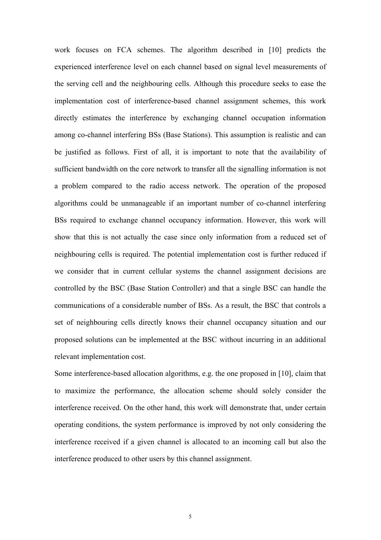work focuses on FCA schemes. The algorithm described in [10] predicts the experienced interference level on each channel based on signal level measurements of the serving cell and the neighbouring cells. Although this procedure seeks to ease the implementation cost of interference-based channel assignment schemes, this work directly estimates the interference by exchanging channel occupation information among co-channel interfering BSs (Base Stations). This assumption is realistic and can be justified as follows. First of all, it is important to note that the availability of sufficient bandwidth on the core network to transfer all the signalling information is not a problem compared to the radio access network. The operation of the proposed algorithms could be unmanageable if an important number of co-channel interfering BSs required to exchange channel occupancy information. However, this work will show that this is not actually the case since only information from a reduced set of neighbouring cells is required. The potential implementation cost is further reduced if we consider that in current cellular systems the channel assignment decisions are controlled by the BSC (Base Station Controller) and that a single BSC can handle the communications of a considerable number of BSs. As a result, the BSC that controls a set of neighbouring cells directly knows their channel occupancy situation and our proposed solutions can be implemented at the BSC without incurring in an additional relevant implementation cost.

Some interference-based allocation algorithms, e.g. the one proposed in [10], claim that to maximize the performance, the allocation scheme should solely consider the interference received. On the other hand, this work will demonstrate that, under certain operating conditions, the system performance is improved by not only considering the interference received if a given channel is allocated to an incoming call but also the interference produced to other users by this channel assignment.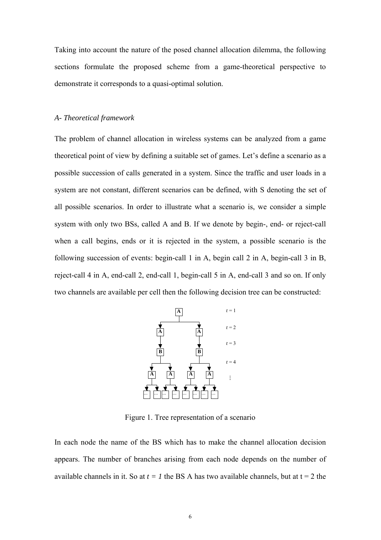Taking into account the nature of the posed channel allocation dilemma, the following sections formulate the proposed scheme from a game-theoretical perspective to demonstrate it corresponds to a quasi-optimal solution.

#### *A- Theoretical framework*

The problem of channel allocation in wireless systems can be analyzed from a game theoretical point of view by defining a suitable set of games. Let's define a scenario as a possible succession of calls generated in a system. Since the traffic and user loads in a system are not constant, different scenarios can be defined, with S denoting the set of all possible scenarios. In order to illustrate what a scenario is, we consider a simple system with only two BSs, called A and B. If we denote by begin-, end- or reject-call when a call begins, ends or it is rejected in the system, a possible scenario is the following succession of events: begin-call 1 in A, begin call 2 in A, begin-call 3 in B, reject-call 4 in A, end-call 2, end-call 1, begin-call 5 in A, end-call 3 and so on. If only two channels are available per cell then the following decision tree can be constructed:



Figure 1. Tree representation of a scenario

In each node the name of the BS which has to make the channel allocation decision appears. The number of branches arising from each node depends on the number of available channels in it. So at  $t = 1$  the BS A has two available channels, but at  $t = 2$  the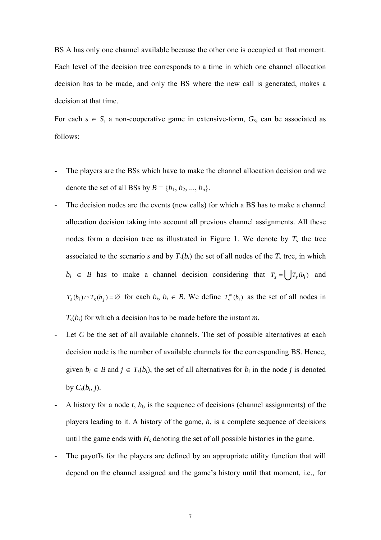BS A has only one channel available because the other one is occupied at that moment. Each level of the decision tree corresponds to a time in which one channel allocation decision has to be made, and only the BS where the new call is generated, makes a decision at that time.

For each  $s \in S$ , a non-cooperative game in extensive-form,  $G_s$ , can be associated as follows:

- The players are the BSs which have to make the channel allocation decision and we denote the set of all BSs by  $B = \{b_1, b_2, ..., b_n\}.$
- The decision nodes are the events (new calls) for which a BS has to make a channel allocation decision taking into account all previous channel assignments. All these nodes form a decision tree as illustrated in Figure 1. We denote by  $T_s$  the tree associated to the scenario *s* and by  $T<sub>s</sub>(b<sub>i</sub>)$  the set of all nodes of the  $T<sub>s</sub>$  tree, in which  $b_i \in B$  has to make a channel decision considering that  $T_s = \int_{s}^s |T_s(b_i)|^2 dx$  $T_s(b_i) \cap T_s(b_j) = \emptyset$  for each  $b_i, b_j \in B$ . We define  $T_s^m(b_i)$  as the set of all nodes in  $T<sub>s</sub>(b<sub>i</sub>)$  for which a decision has to be made before the instant *m*.
- Let *C* be the set of all available channels. The set of possible alternatives at each decision node is the number of available channels for the corresponding BS. Hence, given  $b_i \in B$  and  $j \in T_s(b_i)$ , the set of all alternatives for  $b_i$  in the node *j* is denoted by  $C_s(b_i, j)$ .
- A history for a node *t*, *ht*, is the sequence of decisions (channel assignments) of the players leading to it. A history of the game, *h*, is a complete sequence of decisions until the game ends with  $H_s$  denoting the set of all possible histories in the game.
- The payoffs for the players are defined by an appropriate utility function that will depend on the channel assigned and the game's history until that moment, i.e., for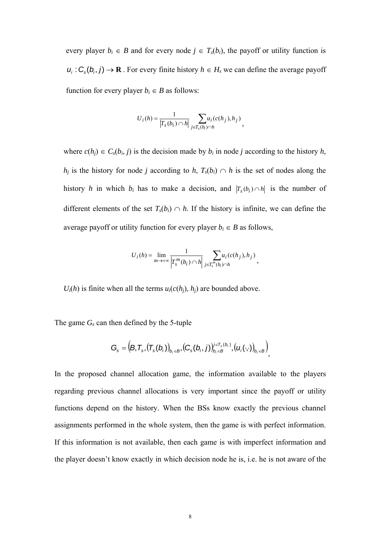every player  $b_i \in B$  and for every node  $j \in T_s(b_i)$ , the payoff or utility function is  $u_i$ :  $C_s(b_i, j) \rightarrow \mathbf{R}$ . For every finite history  $h \in H_s$  we can define the average payoff function for every player  $b_i \in B$  as follows:

$$
U_i(h) = \frac{1}{\left|T_s(b_i) \cap h\right|} \sum_{j \in T_s(b_i) \cap h} u_i(c(h_j), h_j),
$$

where  $c(h_j) \in C_s(b_i, j)$  is the decision made by  $b_i$  in node *j* according to the history  $h$ , *h<sub>i</sub>* is the history for node *j* according to *h*,  $T_s(b_i) \cap h$  is the set of nodes along the history *h* in which  $b_i$  has to make a decision, and  $|T_s(b_i) \cap h|$  is the number of different elements of the set  $T_s(b_i) \cap h$ . If the history is infinite, we can define the average payoff or utility function for every player  $b_i \in B$  as follows,

$$
U_i(h) = \lim_{m \to +\infty} \frac{1}{\left|T_s^m(b_i) \cap h\right|} \sum_{j \in T_s^m(b_i) \cap h} u_i(c(h_j), h_j),
$$

 $U_i(h)$  is finite when all the terms  $u_i(c(h_i), h_i)$  are bounded above.

The game  $G_s$  can then defined by the 5-tuple

$$
G_{s}=\left(B,T_{s},\left(T_{s}(b_{i})\right)_{b_{i}\in B},\left(C_{s}(b_{i},j)\right)_{b_{i}\in B}^{j\in T_{s}(b_{i})},\left(u_{i}(\cdot,\cdot)\right)_{b_{i}\in B}\right)
$$

In the proposed channel allocation game, the information available to the players regarding previous channel allocations is very important since the payoff or utility functions depend on the history. When the BSs know exactly the previous channel assignments performed in the whole system, then the game is with perfect information. If this information is not available, then each game is with imperfect information and the player doesn't know exactly in which decision node he is, i.e. he is not aware of the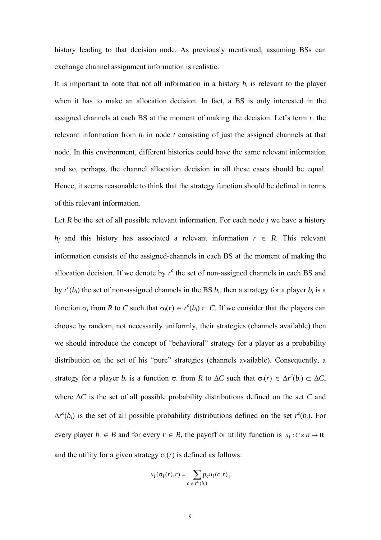history leading to that decision node. As previously mentioned, assuming BSs can exchange channel assignment information is realistic.

It is important to note that not all information in a history  $h_t$  is relevant to the player when it has to make an allocation decision. In fact, a BS is only interested in the assigned channels at each BS at the moment of making the decision. Let's term  $r_t$  the relevant information from  $h_t$  in node  $t$  consisting of just the assigned channels at that node. In this environment, different histories could have the same relevant information and so, perhaps, the channel allocation decision in all these cases should be equal. Hence, it seems reasonable to think that the strategy function should be defined in terms of this relevant information.

Let  $R$  be the set of all possible relevant information. For each node  $j$  we have a history *h<sub>i</sub>* and this history has associated a relevant information  $r \in R$ . This relevant information consists of the assigned-channels in each BS at the moment of making the allocation decision. If we denote by  $r^c$  the set of non-assigned channels in each BS and by  $r^c(b_i)$  the set of non-assigned channels in the BS  $b_i$ , then a strategy for a player  $b_i$  is a function  $\sigma_i$  from *R* to *C* such that  $\sigma_i(r) \in r^c(b_i) \subset C$ . If we consider that the players can choose by random, not necessarily uniformly, their strategies (channels available) then we should introduce the concept of "behavioral" strategy for a player as a probability distribution on the set of his "pure" strategies (channels available). Consequently, a strategy for a player *b<sub>i</sub>* is a function  $\sigma_i$  from *R* to  $\Delta C$  such that  $\sigma_i(r) \in \Delta r^c(b_i) \subset \Delta C$ , where ∆*C* is the set of all possible probability distributions defined on the set *C* and  $\Delta r^c(b_i)$  is the set of all possible probability distributions defined on the set  $r^c(b_i)$ . For every player  $b_i \in B$  and for every  $r \in R$ , the payoff or utility function is  $u_i : C \times R \to \mathbb{R}$ and the utility for a given strategy  $\sigma_i(r)$  is defined as follows:

$$
u_i(\sigma_i(r),r) = \sum_{c \in r^c(b_i)} p_c u_i(c,r),
$$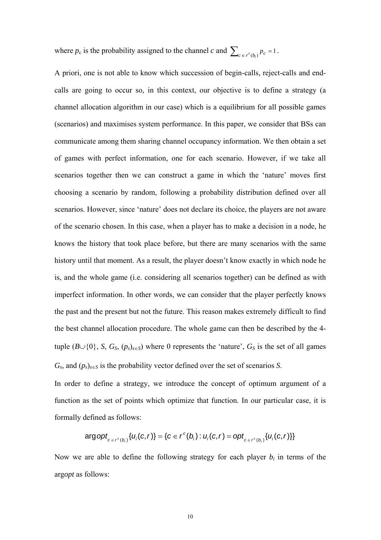where  $p_c$  is the probability assigned to the channel *c* and  $\sum_{c \in r^c(b_i)} p_c = 1$ .

A priori, one is not able to know which succession of begin-calls, reject-calls and endcalls are going to occur so, in this context, our objective is to define a strategy (a channel allocation algorithm in our case) which is a equilibrium for all possible games (scenarios) and maximises system performance. In this paper, we consider that BSs can communicate among them sharing channel occupancy information. We then obtain a set of games with perfect information, one for each scenario. However, if we take all scenarios together then we can construct a game in which the 'nature' moves first choosing a scenario by random, following a probability distribution defined over all scenarios. However, since 'nature' does not declare its choice, the players are not aware of the scenario chosen. In this case, when a player has to make a decision in a node, he knows the history that took place before, but there are many scenarios with the same history until that moment. As a result, the player doesn't know exactly in which node he is, and the whole game (i.e. considering all scenarios together) can be defined as with imperfect information. In other words, we can consider that the player perfectly knows the past and the present but not the future. This reason makes extremely difficult to find the best channel allocation procedure. The whole game can then be described by the 4 tuple  $(B \cup \{0\}, S, G_S, (p_s)_{s \in S})$  where 0 represents the 'nature',  $G_S$  is the set of all games  $G_s$ , and  $(p_s)_{s \in S}$  is the probability vector defined over the set of scenarios *S*.

In order to define a strategy, we introduce the concept of optimum argument of a function as the set of points which optimize that function. In our particular case, it is formally defined as follows:

$$
\arg opt_{c \in r^c(b_i)} \{U_i(c, r)\} = \{c \in r^c(b_i) : U_i(c, r) = opt_{c \in r^c(b_i)} \{U_i(c, r)\}\}
$$

Now we are able to define the following strategy for each player  $b_i$  in terms of the arg*opt* as follows: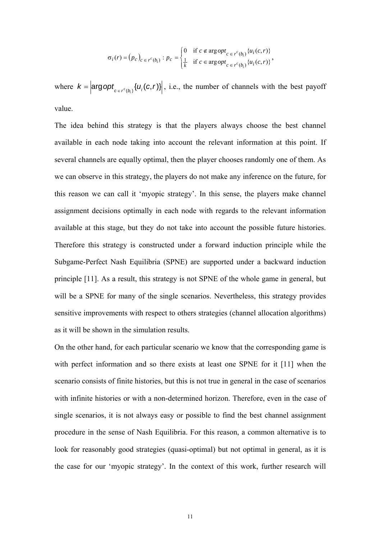$$
\sigma_i(r) = (p_c)_{c \in r^c(b_i)} : p_c = \begin{cases} 0 & \text{if } c \notin \arg opt_{c \in r^c(b_i)} \{u_i(c, r)\} \\ \frac{1}{k} & \text{if } c \in \arg opt_{c \in r^c(b_i)} \{u_i(c, r)\} \end{cases},
$$

where  $k = \left| \arg opt_{c \in r^c(b_i)} \{u_i(c, r)\} \right|$ , i.e., the number of channels with the best payoff value.

The idea behind this strategy is that the players always choose the best channel available in each node taking into account the relevant information at this point. If several channels are equally optimal, then the player chooses randomly one of them. As we can observe in this strategy, the players do not make any inference on the future, for this reason we can call it 'myopic strategy'. In this sense, the players make channel assignment decisions optimally in each node with regards to the relevant information available at this stage, but they do not take into account the possible future histories. Therefore this strategy is constructed under a forward induction principle while the Subgame-Perfect Nash Equilibria (SPNE) are supported under a backward induction principle [11]. As a result, this strategy is not SPNE of the whole game in general, but will be a SPNE for many of the single scenarios. Nevertheless, this strategy provides sensitive improvements with respect to others strategies (channel allocation algorithms) as it will be shown in the simulation results.

On the other hand, for each particular scenario we know that the corresponding game is with perfect information and so there exists at least one SPNE for it [11] when the scenario consists of finite histories, but this is not true in general in the case of scenarios with infinite histories or with a non-determined horizon. Therefore, even in the case of single scenarios, it is not always easy or possible to find the best channel assignment procedure in the sense of Nash Equilibria. For this reason, a common alternative is to look for reasonably good strategies (quasi-optimal) but not optimal in general, as it is the case for our 'myopic strategy'. In the context of this work, further research will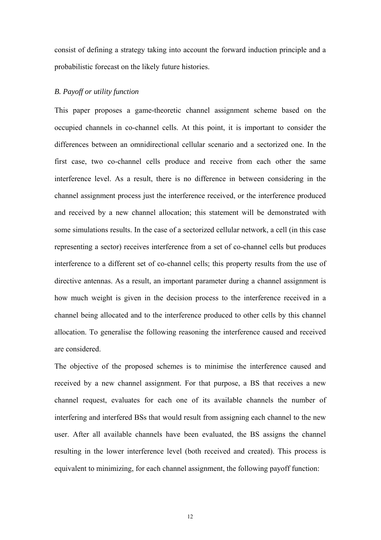consist of defining a strategy taking into account the forward induction principle and a probabilistic forecast on the likely future histories.

## *B. Payoff or utility function*

This paper proposes a game-theoretic channel assignment scheme based on the occupied channels in co-channel cells. At this point, it is important to consider the differences between an omnidirectional cellular scenario and a sectorized one. In the first case, two co-channel cells produce and receive from each other the same interference level. As a result, there is no difference in between considering in the channel assignment process just the interference received, or the interference produced and received by a new channel allocation; this statement will be demonstrated with some simulations results. In the case of a sectorized cellular network, a cell (in this case representing a sector) receives interference from a set of co-channel cells but produces interference to a different set of co-channel cells; this property results from the use of directive antennas. As a result, an important parameter during a channel assignment is how much weight is given in the decision process to the interference received in a channel being allocated and to the interference produced to other cells by this channel allocation. To generalise the following reasoning the interference caused and received are considered.

The objective of the proposed schemes is to minimise the interference caused and received by a new channel assignment. For that purpose, a BS that receives a new channel request, evaluates for each one of its available channels the number of interfering and interfered BSs that would result from assigning each channel to the new user. After all available channels have been evaluated, the BS assigns the channel resulting in the lower interference level (both received and created). This process is equivalent to minimizing, for each channel assignment, the following payoff function:

12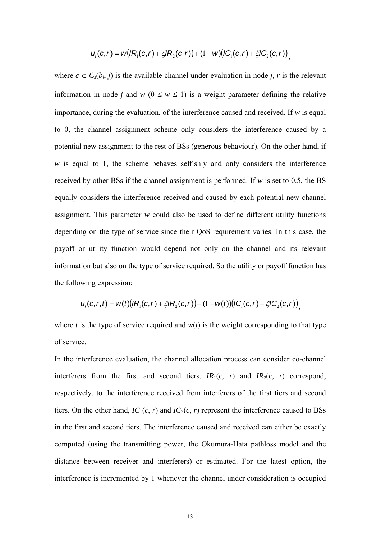$$
u_i(c,r) = w\bigl(lR_1(c,r) + \xi lR_2(c,r)\bigr) + (1-w)\bigl(lC_1(c,r) + \xi lC_2(c,r)\bigr)_{,}
$$

where  $c \in C_s(b_i, j)$  is the available channel under evaluation in node *j*, *r* is the relevant information in node *j* and *w* ( $0 \le w \le 1$ ) is a weight parameter defining the relative importance, during the evaluation, of the interference caused and received. If *w* is equal to 0, the channel assignment scheme only considers the interference caused by a potential new assignment to the rest of BSs (generous behaviour). On the other hand, if *w* is equal to 1, the scheme behaves selfishly and only considers the interference received by other BSs if the channel assignment is performed. If *w* is set to 0.5, the BS equally considers the interference received and caused by each potential new channel assignment. This parameter *w* could also be used to define different utility functions depending on the type of service since their QoS requirement varies. In this case, the payoff or utility function would depend not only on the channel and its relevant information but also on the type of service required. So the utility or payoff function has the following expression:

$$
u_i(c, r, t) = w(t) (IR_1(c, r) + \zeta IR_2(c, r)) + (1 - w(t)) (IC_1(c, r) + \zeta IC_2(c, r))
$$

where *t* is the type of service required and  $w(t)$  is the weight corresponding to that type of service.

In the interference evaluation, the channel allocation process can consider co-channel interferers from the first and second tiers.  $IR_1(c, r)$  and  $IR_2(c, r)$  correspond, respectively, to the interference received from interferers of the first tiers and second tiers. On the other hand,  $IC_1(c, r)$  and  $IC_2(c, r)$  represent the interference caused to BSs in the first and second tiers. The interference caused and received can either be exactly computed (using the transmitting power, the Okumura-Hata pathloss model and the distance between receiver and interferers) or estimated. For the latest option, the interference is incremented by 1 whenever the channel under consideration is occupied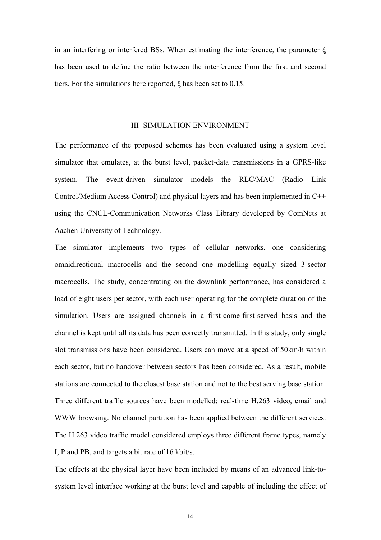in an interfering or interfered BSs. When estimating the interference, the parameter ξ has been used to define the ratio between the interference from the first and second tiers. For the simulations here reported, ξ has been set to 0.15.

## III- SIMULATION ENVIRONMENT

The performance of the proposed schemes has been evaluated using a system level simulator that emulates, at the burst level, packet-data transmissions in a GPRS-like system. The event-driven simulator models the RLC/MAC (Radio Link Control/Medium Access Control) and physical layers and has been implemented in C++ using the CNCL-Communication Networks Class Library developed by ComNets at Aachen University of Technology.

The simulator implements two types of cellular networks, one considering omnidirectional macrocells and the second one modelling equally sized 3-sector macrocells. The study, concentrating on the downlink performance, has considered a load of eight users per sector, with each user operating for the complete duration of the simulation. Users are assigned channels in a first-come-first-served basis and the channel is kept until all its data has been correctly transmitted. In this study, only single slot transmissions have been considered. Users can move at a speed of 50km/h within each sector, but no handover between sectors has been considered. As a result, mobile stations are connected to the closest base station and not to the best serving base station. Three different traffic sources have been modelled: real-time H.263 video, email and WWW browsing. No channel partition has been applied between the different services. The H.263 video traffic model considered employs three different frame types, namely I, P and PB, and targets a bit rate of 16 kbit/s.

The effects at the physical layer have been included by means of an advanced link-tosystem level interface working at the burst level and capable of including the effect of

14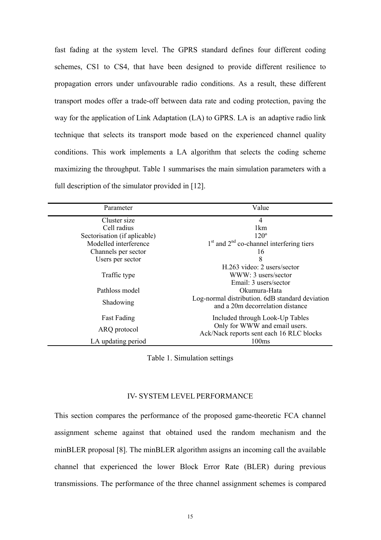fast fading at the system level. The GPRS standard defines four different coding schemes, CS1 to CS4, that have been designed to provide different resilience to propagation errors under unfavourable radio conditions. As a result, these different transport modes offer a trade-off between data rate and coding protection, paving the way for the application of Link Adaptation (LA) to GPRS. LA is an adaptive radio link technique that selects its transport mode based on the experienced channel quality conditions. This work implements a LA algorithm that selects the coding scheme maximizing the throughput. Table 1 summarises the main simulation parameters with a full description of the simulator provided in [12].

| Parameter                    | Value                                                                               |
|------------------------------|-------------------------------------------------------------------------------------|
| Cluster size                 | $\overline{4}$                                                                      |
| Cell radius                  | 1km                                                                                 |
| Sectorisation (if aplicable) | $120^\circ$                                                                         |
| Modelled interference        | $1st$ and $2nd$ co-channel interfering tiers                                        |
| Channels per sector          | 16                                                                                  |
| Users per sector             | 8                                                                                   |
|                              | H.263 video: 2 users/sector                                                         |
| Traffic type                 | WWW: 3 users/sector                                                                 |
|                              | Email: 3 users/sector                                                               |
| Pathloss model               | Okumura-Hata                                                                        |
| Shadowing                    | Log-normal distribution. 6dB standard deviation<br>and a 20m decorrelation distance |
| <b>Fast Fading</b>           | Included through Look-Up Tables                                                     |
| ARQ protocol                 | Only for WWW and email users.<br>Ack/Nack reports sent each 16 RLC blocks           |
| LA updating period           | 100ms                                                                               |

Table 1. Simulation settings

## IV- SYSTEM LEVEL PERFORMANCE

This section compares the performance of the proposed game-theoretic FCA channel assignment scheme against that obtained used the random mechanism and the minBLER proposal [8]. The minBLER algorithm assigns an incoming call the available channel that experienced the lower Block Error Rate (BLER) during previous transmissions. The performance of the three channel assignment schemes is compared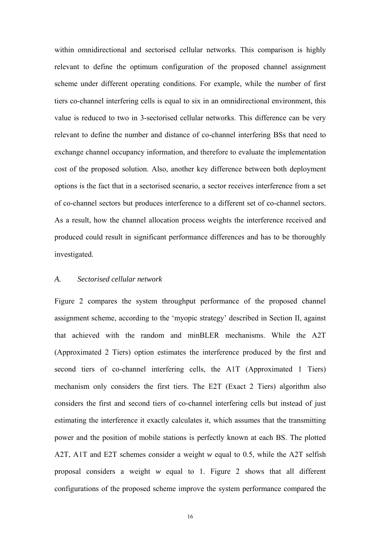within omnidirectional and sectorised cellular networks. This comparison is highly relevant to define the optimum configuration of the proposed channel assignment scheme under different operating conditions. For example, while the number of first tiers co-channel interfering cells is equal to six in an omnidirectional environment, this value is reduced to two in 3-sectorised cellular networks. This difference can be very relevant to define the number and distance of co-channel interfering BSs that need to exchange channel occupancy information, and therefore to evaluate the implementation cost of the proposed solution. Also, another key difference between both deployment options is the fact that in a sectorised scenario, a sector receives interference from a set of co-channel sectors but produces interference to a different set of co-channel sectors. As a result, how the channel allocation process weights the interference received and produced could result in significant performance differences and has to be thoroughly investigated.

## *A. Sectorised cellular network*

Figure 2 compares the system throughput performance of the proposed channel assignment scheme, according to the 'myopic strategy' described in Section II, against that achieved with the random and minBLER mechanisms. While the A2T (Approximated 2 Tiers) option estimates the interference produced by the first and second tiers of co-channel interfering cells, the A1T (Approximated 1 Tiers) mechanism only considers the first tiers. The E2T (Exact 2 Tiers) algorithm also considers the first and second tiers of co-channel interfering cells but instead of just estimating the interference it exactly calculates it, which assumes that the transmitting power and the position of mobile stations is perfectly known at each BS. The plotted A2T, A1T and E2T schemes consider a weight *w* equal to 0.5, while the A2T selfish proposal considers a weight *w* equal to 1. Figure 2 shows that all different configurations of the proposed scheme improve the system performance compared the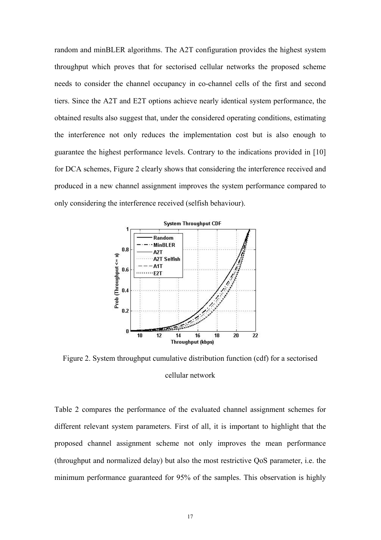random and minBLER algorithms. The A2T configuration provides the highest system throughput which proves that for sectorised cellular networks the proposed scheme needs to consider the channel occupancy in co-channel cells of the first and second tiers. Since the A2T and E2T options achieve nearly identical system performance, the obtained results also suggest that, under the considered operating conditions, estimating the interference not only reduces the implementation cost but is also enough to guarantee the highest performance levels. Contrary to the indications provided in [10] for DCA schemes, Figure 2 clearly shows that considering the interference received and produced in a new channel assignment improves the system performance compared to only considering the interference received (selfish behaviour).



Figure 2. System throughput cumulative distribution function (cdf) for a sectorised cellular network

Table 2 compares the performance of the evaluated channel assignment schemes for different relevant system parameters. First of all, it is important to highlight that the proposed channel assignment scheme not only improves the mean performance (throughput and normalized delay) but also the most restrictive QoS parameter, i.e. the minimum performance guaranteed for 95% of the samples. This observation is highly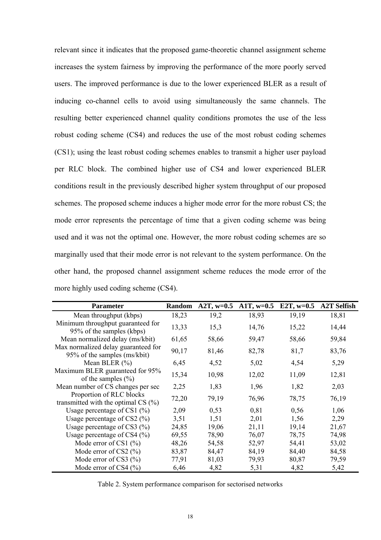relevant since it indicates that the proposed game-theoretic channel assignment scheme increases the system fairness by improving the performance of the more poorly served users. The improved performance is due to the lower experienced BLER as a result of inducing co-channel cells to avoid using simultaneously the same channels. The resulting better experienced channel quality conditions promotes the use of the less robust coding scheme (CS4) and reduces the use of the most robust coding schemes (CS1); using the least robust coding schemes enables to transmit a higher user payload per RLC block. The combined higher use of CS4 and lower experienced BLER conditions result in the previously described higher system throughput of our proposed schemes. The proposed scheme induces a higher mode error for the more robust CS; the mode error represents the percentage of time that a given coding scheme was being used and it was not the optimal one. However, the more robust coding schemes are so marginally used that their mode error is not relevant to the system performance. On the other hand, the proposed channel assignment scheme reduces the mode error of the more highly used coding scheme (CS4).

| <b>Parameter</b>                                                    | Random | $A2T, w=0.5$ | $A1T, w=0.5$ | E2T, $w=0.5$ | <b>A2T Selfish</b> |
|---------------------------------------------------------------------|--------|--------------|--------------|--------------|--------------------|
| Mean throughput (kbps)                                              | 18,23  | 19,2         | 18,93        | 19,19        | 18,81              |
| Minimum throughput guaranteed for<br>95% of the samples (kbps)      | 13,33  | 15,3         | 14,76        | 15,22        | 14,44              |
| Mean normalized delay (ms/kbit)                                     | 61,65  | 58,66        | 59,47        | 58,66        | 59,84              |
| Max normalized delay guaranteed for<br>95% of the samples (ms/kbit) | 90,17  | 81,46        | 82,78        | 81,7         | 83,76              |
| Mean BLER $(\% )$                                                   | 6,45   | 4,52         | 5,02         | 4,54         | 5,29               |
| Maximum BLER guaranteed for 95%<br>of the samples $(\% )$           | 15,34  | 10,98        | 12,02        | 11,09        | 12,81              |
| Mean number of CS changes per sec                                   | 2,25   | 1,83         | 1,96         | 1,82         | 2,03               |
| Proportion of RLC blocks<br>transmitted with the optimal CS $(\%)$  | 72,20  | 79,19        | 76,96        | 78,75        | 76,19              |
| Usage percentage of CS1 $(%)$                                       | 2,09   | 0,53         | 0,81         | 0,56         | 1,06               |
| Usage percentage of CS2 $(\%)$                                      | 3,51   | 1,51         | 2,01         | 1,56         | 2,29               |
| Usage percentage of CS3 $(\%)$                                      | 24,85  | 19,06        | 21,11        | 19,14        | 21,67              |
| Usage percentage of CS4 $(\%$ )                                     | 69,55  | 78,90        | 76,07        | 78,75        | 74,98              |
| Mode error of CS1 $(\% )$                                           | 48,26  | 54,58        | 52,97        | 54,41        | 53,02              |
| Mode error of CS2 $(\% )$                                           | 83,87  | 84,47        | 84,19        | 84,40        | 84,58              |
| Mode error of CS3 $(\% )$                                           | 77,91  | 81,03        | 79,93        | 80,87        | 79,59              |
| Mode error of CS4 $(\%$ )                                           | 6,46   | 4,82         | 5,31         | 4,82         | 5,42               |

Table 2. System performance comparison for sectorised networks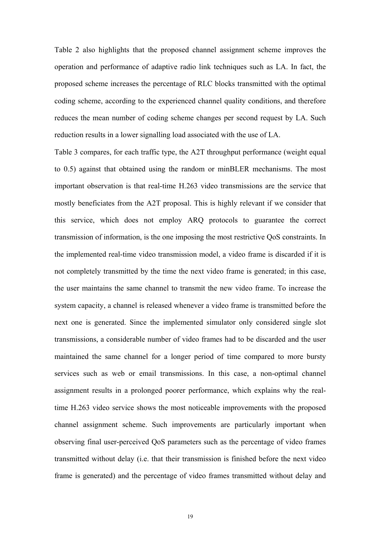Table 2 also highlights that the proposed channel assignment scheme improves the operation and performance of adaptive radio link techniques such as LA. In fact, the proposed scheme increases the percentage of RLC blocks transmitted with the optimal coding scheme, according to the experienced channel quality conditions, and therefore reduces the mean number of coding scheme changes per second request by LA. Such reduction results in a lower signalling load associated with the use of LA.

Table 3 compares, for each traffic type, the A2T throughput performance (weight equal to 0.5) against that obtained using the random or minBLER mechanisms. The most important observation is that real-time H.263 video transmissions are the service that mostly beneficiates from the A2T proposal. This is highly relevant if we consider that this service, which does not employ ARQ protocols to guarantee the correct transmission of information, is the one imposing the most restrictive QoS constraints. In the implemented real-time video transmission model, a video frame is discarded if it is not completely transmitted by the time the next video frame is generated; in this case, the user maintains the same channel to transmit the new video frame. To increase the system capacity, a channel is released whenever a video frame is transmitted before the next one is generated. Since the implemented simulator only considered single slot transmissions, a considerable number of video frames had to be discarded and the user maintained the same channel for a longer period of time compared to more bursty services such as web or email transmissions. In this case, a non-optimal channel assignment results in a prolonged poorer performance, which explains why the realtime H.263 video service shows the most noticeable improvements with the proposed channel assignment scheme. Such improvements are particularly important when observing final user-perceived QoS parameters such as the percentage of video frames transmitted without delay (i.e. that their transmission is finished before the next video frame is generated) and the percentage of video frames transmitted without delay and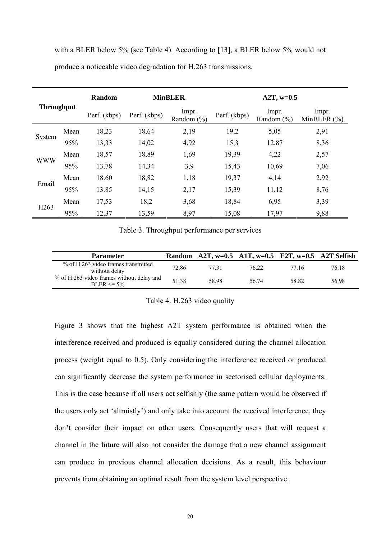with a BLER below 5% (see Table 4). According to [13], a BLER below 5% would not produce a noticeable video degradation for H.263 transmissions.

| <b>Throughput</b> |      | Random       |              | <b>MinBLER</b>          | $A2T, w=0.5$ |                         |                          |  |
|-------------------|------|--------------|--------------|-------------------------|--------------|-------------------------|--------------------------|--|
|                   |      | Perf. (kbps) | Perf. (kbps) | Impr.<br>Random $(\% )$ | Perf. (kbps) | Impr.<br>Random $(\% )$ | Impr.<br>MinBLER $(\% )$ |  |
|                   | Mean | 18,23        | 18,64        | 2,19                    | 19,2         | 5,05                    | 2,91                     |  |
| System            | 95%  | 13,33        | 14,02        | 4,92                    | 15,3         | 12,87                   | 8,36                     |  |
| <b>WWW</b>        | Mean | 18,57        | 18,89        | 1,69                    | 19,39        | 4,22                    | 2,57                     |  |
|                   | 95%  | 13,78        | 14,34        | 3,9                     | 15,43        | 10,69                   | 7,06                     |  |
|                   | Mean | 18.60        | 18,82        | 1,18                    | 19,37        | 4,14                    | 2,92                     |  |
| Email             | 95%  | 13.85        | 14,15        | 2,17                    | 15,39        | 11,12                   | 8,76                     |  |
| H <sub>263</sub>  | Mean | 17,53        | 18,2         | 3,68                    | 18,84        | 6,95                    | 3,39                     |  |
|                   | 95%  | 12,37        | 13,59        | 8,97                    | 15,08        | 17,97                   | 9,88                     |  |

Table 3. Throughput performance per services

| <b>Parameter</b>                                            |       |       | Random A2T, w=0.5 A1T, w=0.5 E2T, w=0.5 A2T Selfish |       |       |
|-------------------------------------------------------------|-------|-------|-----------------------------------------------------|-------|-------|
| % of H.263 video frames transmitted<br>without delay        | 72.86 | 77 31 | 76 22                                               | 77 16 | 76 18 |
| % of H.263 video frames without delay and<br>$BLER \le 5\%$ | 51.38 | 58.98 | 56.74                                               | 58.82 | 56.98 |

Table 4. H.263 video quality

Figure 3 shows that the highest A2T system performance is obtained when the interference received and produced is equally considered during the channel allocation process (weight equal to 0.5). Only considering the interference received or produced can significantly decrease the system performance in sectorised cellular deployments. This is the case because if all users act selfishly (the same pattern would be observed if the users only act 'altruistly') and only take into account the received interference, they don't consider their impact on other users. Consequently users that will request a channel in the future will also not consider the damage that a new channel assignment can produce in previous channel allocation decisions. As a result, this behaviour prevents from obtaining an optimal result from the system level perspective.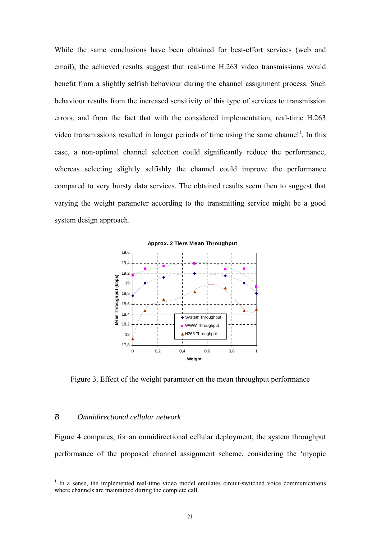While the same conclusions have been obtained for best-effort services (web and email), the achieved results suggest that real-time H.263 video transmissions would benefit from a slightly selfish behaviour during the channel assignment process. Such behaviour results from the increased sensitivity of this type of services to transmission errors, and from the fact that with the considered implementation, real-time H.263 video transmissions resulted in longer periods of time using the same channel<sup>1</sup>. In this case, a non-optimal channel selection could significantly reduce the performance, whereas selecting slightly selfishly the channel could improve the performance compared to very bursty data services. The obtained results seem then to suggest that varying the weight parameter according to the transmitting service might be a good system design approach.



Figure 3. Effect of the weight parameter on the mean throughput performance

### *B. Omnidirectional cellular network*

Figure 4 compares, for an omnidirectional cellular deployment, the system throughput performance of the proposed channel assignment scheme, considering the 'myopic

 $\frac{1}{1}$  In a sense, the implemented real-time video model emulates circuit-switched voice communications where channels are maintained during the complete call.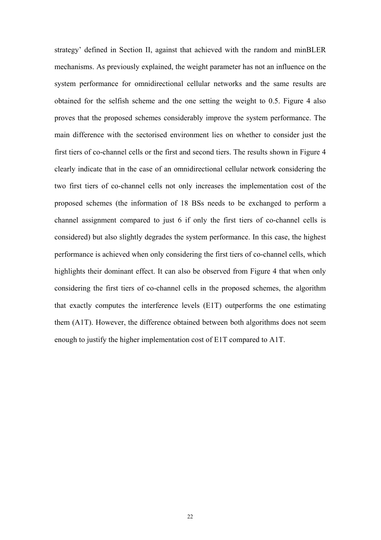strategy' defined in Section II, against that achieved with the random and minBLER mechanisms. As previously explained, the weight parameter has not an influence on the system performance for omnidirectional cellular networks and the same results are obtained for the selfish scheme and the one setting the weight to 0.5. Figure 4 also proves that the proposed schemes considerably improve the system performance. The main difference with the sectorised environment lies on whether to consider just the first tiers of co-channel cells or the first and second tiers. The results shown in Figure 4 clearly indicate that in the case of an omnidirectional cellular network considering the two first tiers of co-channel cells not only increases the implementation cost of the proposed schemes (the information of 18 BSs needs to be exchanged to perform a channel assignment compared to just 6 if only the first tiers of co-channel cells is considered) but also slightly degrades the system performance. In this case, the highest performance is achieved when only considering the first tiers of co-channel cells, which highlights their dominant effect. It can also be observed from Figure 4 that when only considering the first tiers of co-channel cells in the proposed schemes, the algorithm that exactly computes the interference levels (E1T) outperforms the one estimating them (A1T). However, the difference obtained between both algorithms does not seem enough to justify the higher implementation cost of E1T compared to A1T.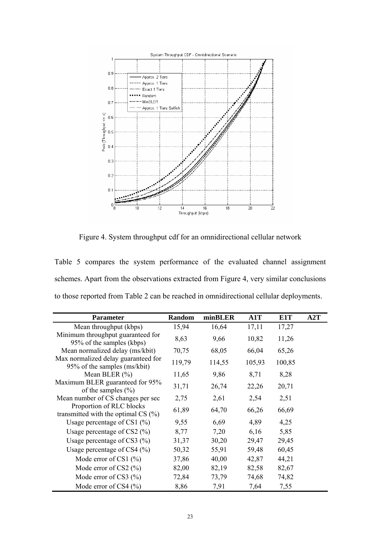

Figure 4. System throughput cdf for an omnidirectional cellular network

Table 5 compares the system performance of the evaluated channel assignment schemes. Apart from the observations extracted from Figure 4, very similar conclusions to those reported from Table 2 can be reached in omnidirectional cellular deployments.

| <b>Parameter</b>                                                    | <b>Random</b> | minBLER | A1T    | E <sub>1</sub> T | A2T |
|---------------------------------------------------------------------|---------------|---------|--------|------------------|-----|
| Mean throughput (kbps)                                              | 15,94         | 16,64   | 17,11  | 17,27            |     |
| Minimum throughput guaranteed for<br>95% of the samples (kbps)      | 8,63          | 9,66    | 10,82  | 11,26            |     |
| Mean normalized delay (ms/kbit)                                     | 70,75         | 68,05   | 66,04  | 65,26            |     |
| Max normalized delay guaranteed for<br>95% of the samples (ms/kbit) | 119,79        | 114,55  | 105,93 | 100,85           |     |
| Mean BLER $(\% )$                                                   | 11,65         | 9,86    | 8,71   | 8,28             |     |
| Maximum BLER guaranteed for 95%<br>of the samples $(\%$             | 31,71         | 26,74   | 22,26  | 20,71            |     |
| Mean number of CS changes per sec                                   | 2,75          | 2,61    | 2,54   | 2,51             |     |
| Proportion of RLC blocks<br>transmitted with the optimal CS $(\%)$  | 61,89         | 64,70   | 66,26  | 66,69            |     |
| Usage percentage of CS1 $(%)$                                       | 9,55          | 6,69    | 4,89   | 4,25             |     |
| Usage percentage of CS2 $(\%)$                                      | 8,77          | 7,20    | 6,16   | 5,85             |     |
| Usage percentage of CS3 $(\%)$                                      | 31,37         | 30,20   | 29,47  | 29,45            |     |
| Usage percentage of CS4 $(\%$ )                                     | 50,32         | 55,91   | 59,48  | 60,45            |     |
| Mode error of CS1 $(%$                                              | 37,86         | 40,00   | 42,87  | 44,21            |     |
| Mode error of CS2 $(\%$                                             | 82,00         | 82,19   | 82,58  | 82,67            |     |
| Mode error of CS3 $(\%$ )                                           | 72,84         | 73,79   | 74,68  | 74,82            |     |
| Mode error of CS4 $(\%$ )                                           | 8,86          | 7,91    | 7,64   | 7,55             |     |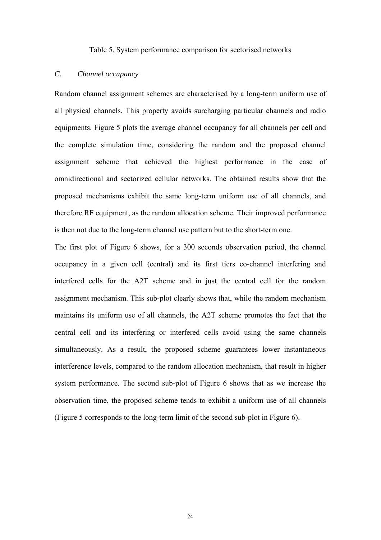Table 5. System performance comparison for sectorised networks

## *C. Channel occupancy*

Random channel assignment schemes are characterised by a long-term uniform use of all physical channels. This property avoids surcharging particular channels and radio equipments. Figure 5 plots the average channel occupancy for all channels per cell and the complete simulation time, considering the random and the proposed channel assignment scheme that achieved the highest performance in the case of omnidirectional and sectorized cellular networks. The obtained results show that the proposed mechanisms exhibit the same long-term uniform use of all channels, and therefore RF equipment, as the random allocation scheme. Their improved performance is then not due to the long-term channel use pattern but to the short-term one.

The first plot of Figure 6 shows, for a 300 seconds observation period, the channel occupancy in a given cell (central) and its first tiers co-channel interfering and interfered cells for the A2T scheme and in just the central cell for the random assignment mechanism. This sub-plot clearly shows that, while the random mechanism maintains its uniform use of all channels, the A2T scheme promotes the fact that the central cell and its interfering or interfered cells avoid using the same channels simultaneously. As a result, the proposed scheme guarantees lower instantaneous interference levels, compared to the random allocation mechanism, that result in higher system performance. The second sub-plot of Figure 6 shows that as we increase the observation time, the proposed scheme tends to exhibit a uniform use of all channels (Figure 5 corresponds to the long-term limit of the second sub-plot in Figure 6).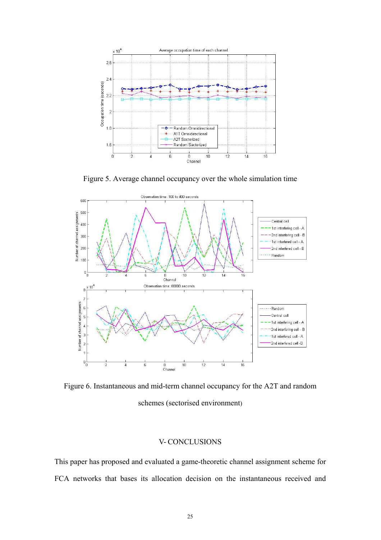

Figure 5. Average channel occupancy over the whole simulation time



Figure 6. Instantaneous and mid-term channel occupancy for the A2T and random schemes (sectorised environment)

## V- CONCLUSIONS

This paper has proposed and evaluated a game-theoretic channel assignment scheme for FCA networks that bases its allocation decision on the instantaneous received and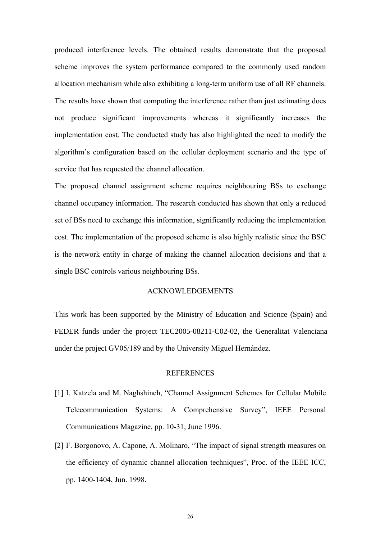produced interference levels. The obtained results demonstrate that the proposed scheme improves the system performance compared to the commonly used random allocation mechanism while also exhibiting a long-term uniform use of all RF channels. The results have shown that computing the interference rather than just estimating does not produce significant improvements whereas it significantly increases the implementation cost. The conducted study has also highlighted the need to modify the algorithm's configuration based on the cellular deployment scenario and the type of service that has requested the channel allocation.

The proposed channel assignment scheme requires neighbouring BSs to exchange channel occupancy information. The research conducted has shown that only a reduced set of BSs need to exchange this information, significantly reducing the implementation cost. The implementation of the proposed scheme is also highly realistic since the BSC is the network entity in charge of making the channel allocation decisions and that a single BSC controls various neighbouring BSs.

## ACKNOWLEDGEMENTS

This work has been supported by the Ministry of Education and Science (Spain) and FEDER funds under the project TEC2005-08211-C02-02, the Generalitat Valenciana under the project GV05/189 and by the University Miguel Hernández.

#### **REFERENCES**

- [1] I. Katzela and M. Naghshineh, "Channel Assignment Schemes for Cellular Mobile Telecommunication Systems: A Comprehensive Survey", IEEE Personal Communications Magazine, pp. 10-31, June 1996.
- [2] F. Borgonovo, A. Capone, A. Molinaro, "The impact of signal strength measures on the efficiency of dynamic channel allocation techniques", Proc. of the IEEE ICC, pp. 1400-1404, Jun. 1998.

26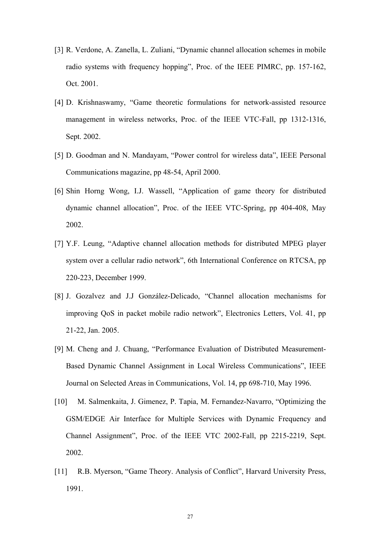- [3] R. Verdone, A. Zanella, L. Zuliani, "Dynamic channel allocation schemes in mobile radio systems with frequency hopping", Proc. of the IEEE PIMRC, pp. 157-162, Oct. 2001.
- [4] D. Krishnaswamy, "Game theoretic formulations for network-assisted resource management in wireless networks, Proc. of the IEEE VTC-Fall, pp 1312-1316, Sept. 2002.
- [5] D. Goodman and N. Mandayam, "Power control for wireless data", IEEE Personal Communications magazine, pp 48-54, April 2000.
- [6] Shin Horng Wong, I.J. Wassell, "Application of game theory for distributed dynamic channel allocation", Proc. of the IEEE VTC-Spring, pp 404-408, May 2002.
- [7] Y.F. Leung, "Adaptive channel allocation methods for distributed MPEG player system over a cellular radio network", 6th International Conference on RTCSA, pp 220-223, December 1999.
- [8] J. Gozalvez and J.J González-Delicado, "Channel allocation mechanisms for improving QoS in packet mobile radio network", Electronics Letters, Vol. 41, pp 21-22, Jan. 2005.
- [9] M. Cheng and J. Chuang, "Performance Evaluation of Distributed Measurement-Based Dynamic Channel Assignment in Local Wireless Communications", IEEE Journal on Selected Areas in Communications, Vol. 14, pp 698-710, May 1996.
- [10] M. Salmenkaita, J. Gimenez, P. Tapia, M. Fernandez-Navarro, "Optimizing the GSM/EDGE Air Interface for Multiple Services with Dynamic Frequency and Channel Assignment", Proc. of the IEEE VTC 2002-Fall, pp 2215-2219, Sept. 2002.
- [11] R.B. Myerson, "Game Theory. Analysis of Conflict", Harvard University Press, 1991.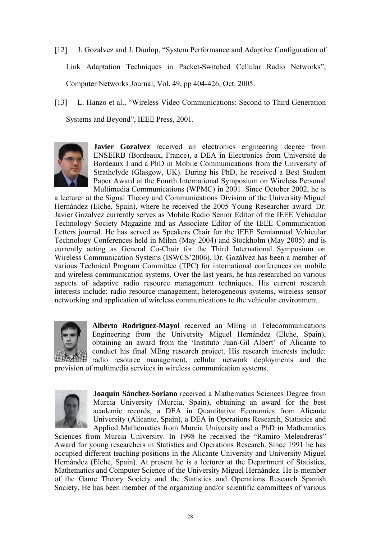- [12] J. Gozalvez and J. Dunlop, "System Performance and Adaptive Configuration of Link Adaptation Techniques in Packet-Switched Cellular Radio Networks", Computer Networks Journal, Vol. 49, pp 404-426, Oct. 2005.
- [13] L. Hanzo et al., "Wireless Video Communications: Second to Third Generation Systems and Beyond", IEEE Press, 2001.



**Javier Gozalvez** received an electronics engineering degree from ENSEIRB (Bordeaux, France), a DEA in Electronics from Université de Bordeaux I and a PhD in Mobile Communications from the University of Strathclyde (Glasgow, UK). During his PhD, he received a Best Student Paper Award at the Fourth International Symposium on Wireless Personal Multimedia Communications (WPMC) in 2001. Since October 2002, he is

a lecturer at the Signal Theory and Communications Division of the University Miguel Hernández (Elche, Spain), where he received the 2005 Young Researcher award. Dr. Javier Gozalvez currently serves as Mobile Radio Senior Editor of the IEEE Vehicular Technology Society Magazine and as Associate Editor of the IEEE Communication Letters journal. He has served as Speakers Chair for the IEEE Semiannual Vehicular Technology Conferences held in Milan (May 2004) and Stockholm (May 2005) and is currently acting as General Co-Chair for the Third International Symposium on Wireless Communication Systems (ISWCS'2006). Dr. Gozálvez has been a member of various Technical Program Committee (TPC) for international conferences on mobile and wireless communication systems. Over the last years, he has researched on various aspects of adaptive radio resource management techniques. His current research interests include: radio resource management, heterogeneous systems, wireless sensor networking and application of wireless communications to the vehicular environment.



**Alberto Rodriguez-Mayol** received an MEng in Telecommunications Engineering from the University Miguel Hernández (Elche, Spain), obtaining an award from the 'Instituto Juan-Gil Albert' of Alicante to conduct his final MEng research project. His research interests include: radio resource management, cellular network deployments and the provision of multimedia services in wireless communication systems.



**Joaquín Sánchez-Soriano** received a Mathematics Sciences Degree from Murcia University (Murcia, Spain), obtaining an award for the best academic records, a DEA in Quantitative Economics from Alicante University (Alicante, Spain), a DEA in Operations Research, Statistics and Applied Mathematics from Murcia University and a PhD in Mathematics

Sciences from Murcia University. In 1998 he received the "Ramiro Melendreras" Award for young researchers in Statistics and Operations Research. Since 1991 he has occupied different teaching positions in the Alicante University and University Miguel Hernández (Elche, Spain). At present he is a lecturer at the Department of Statistics, Mathematics and Computer Science of the University Miguel Hernández. He is member of the Game Theory Society and the Statistics and Operations Research Spanish Society. He has been member of the organizing and/or scientific committees of various